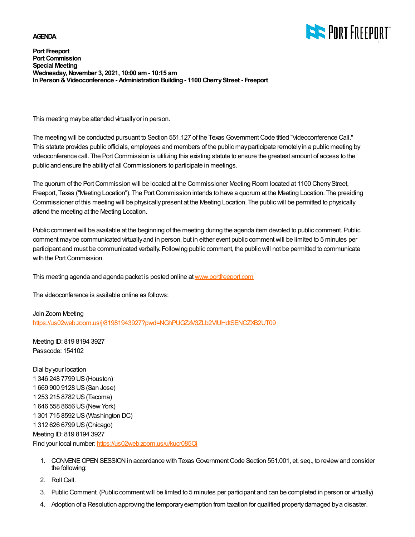## **AGENDA**



**Port Freeport Port Commission Special Meeting Wednesday, November 3, 2021, 10:00 am - 10:15 am In Person & Videoconference - Administration Building - 1100 Cherry Street - Freeport**

This meeting may be attended virtually or in person.

The meeting will be conducted pursuant to Section 551.127 of the Texas Government Code titled "Videoconference Call." This statute provides public officials, employees and members of the public may participate remotely in a public meeting by videoconference call. The Port Commission is utilizing this existing statute to ensure the greatest amount of access to the public and ensure the ability of all Commissioners to participate in meetings.

The quorum of the Port Commission will be located at the Commissioner Meeting Room located at 1100 Cherry Street, Freeport, Texas ("Meeting Location"). The Port Commission intends to have a quorum at the Meeting Location. The presiding Commissioner of this meeting will be physically present at the Meeting Location. The public will be permitted to physically attend the meeting at the Meeting Location.

Public comment will be available at the beginning of the meeting during the agenda item devoted to public comment. Public comment may be communicated virtually and in person, but in either event public comment will be limited to 5 minutes per participant and must be communicated verbally. Following public comment, the public will not be permitted to communicate with the Port Commission.

This meeting agenda and agenda packet is posted online at [www.portfreeport.com](http://www.portfreeport.com)

The videoconference is available online as follows:

Join Zoom Meeting <https://us02web.zoom.us/j/81981943927?pwd=NGhPUGZzM3ZLb2VIUHdtSENCZXB2UT09>

Meeting ID: 819 8194 3927 Passcode: 154102

Dial by your location 1 346 248 7799 US (Houston) 1 669 900 9128 US (San Jose) 1 253 215 8782 US (Tacoma) 1 646 558 8656 US (New York) 1 301 715 8592 US (Washington DC) 1 312 626 6799 US (Chicago) Meeting ID: 819 8194 3927 Find your local number:<https://us02web.zoom.us/u/kucr085Oi>

- CONVENE OPEN SESSION in accordance with Texas Government Code Section 551.001, et. seq., to review and consider 1. the following:
- 2. Roll Call.
- 3. Public Comment. (Public comment will be limted to 5 minutes per participant and can be completed in person or virtually)
- 4. Adoption of a Resolution approving the temporary exemption from taxation for qualified property damaged by a disaster.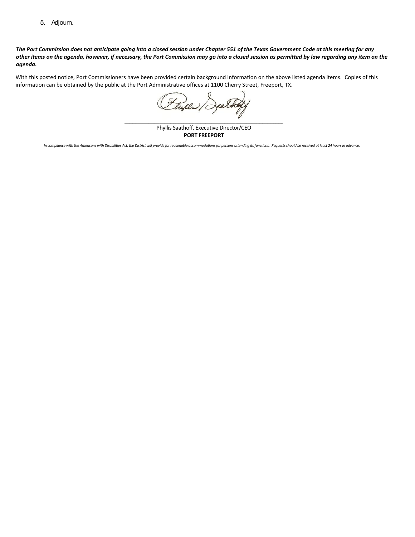5. Adjourn.

### *The Port Commission does not anticipate going into a closed session under Chapter 551 of the Texas Government Code at this meeting for any other items on the agenda, however, if necessary, the Port Commission may go into a closed session as permitted by law regarding any item on the agenda.*

With this posted notice, Port Commissioners have been provided certain background information on the above listed agenda items. Copies of this information can be obtained by the public at the Port Administrative offices at 1100 Cherry Street, Freeport, TX.

tulle

\_\_\_\_\_\_\_\_\_\_\_\_\_\_\_\_\_\_\_\_\_\_\_\_\_\_\_\_\_\_\_\_\_\_\_\_\_\_\_\_\_\_\_\_\_\_\_\_\_\_\_\_\_\_\_\_\_\_\_\_\_\_\_\_\_\_\_\_\_\_\_\_\_\_\_\_\_\_\_\_\_\_\_\_\_\_\_\_\_\_\_\_\_\_\_\_\_\_\_\_ Phyllis Saathoff, Executive Director/CEO **PORT FREEPORT**

*In compliance with the Americans with Disabilities Act, the District will provide for reasonable accommodationsfor persons attending its functions. Requests should be received at least 24 hours in advance.*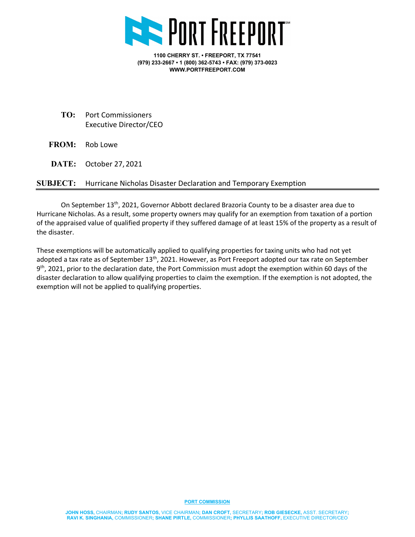

**1100 CHERRY ST. • FREEPORT, TX 77541 (979) 233-2667 • 1 (800) 362-5743 • FAX: (979) 373-0023 WWW.PORTFREEPORT.COM**

- **TO:** Port Commissioners Executive Director/CEO
- **FROM:** Rob Lowe
- **DATE:** October 27, 2021

# **SUBJECT:** Hurricane Nicholas Disaster Declaration and Temporary Exemption

On September 13<sup>th</sup>, 2021, Governor Abbott declared Brazoria County to be a disaster area due to Hurricane Nicholas. As a result, some property owners may qualify for an exemption from taxation of a portion of the appraised value of qualified property if they suffered damage of at least 15% of the property as a result of the disaster.

These exemptions will be automatically applied to qualifying properties for taxing units who had not yet adopted a tax rate as of September  $13<sup>th</sup>$ , 2021. However, as Port Freeport adopted our tax rate on September 9<sup>th</sup>, 2021, prior to the declaration date, the Port Commission must adopt the exemption within 60 days of the disaster declaration to allow qualifying properties to claim the exemption. If the exemption is not adopted, the exemption will not be applied to qualifying properties.

#### **PORT COMMISSION**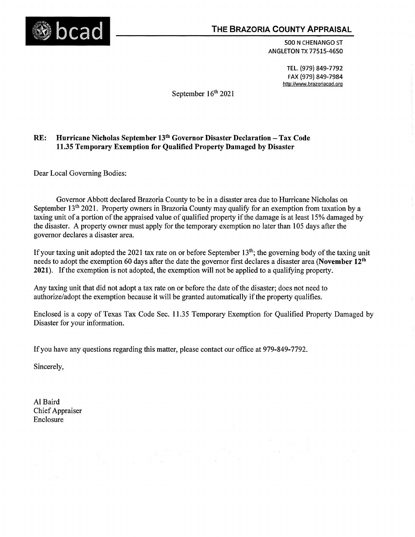

500 N CHENANGO ST **ANGLETON TX 77515-4650** 

> TEL. (979) 849-7792 FAX (979) 849-7984 http://www.brazoriacad.org

September 16th 2021

#### Hurricane Nicholas September 13<sup>th</sup> Governor Disaster Declaration - Tax Code RE: 11.35 Temporary Exemption for Qualified Property Damaged by Disaster

Dear Local Governing Bodies:

Governor Abbott declared Brazoria County to be in a disaster area due to Hurricane Nicholas on September 13<sup>th</sup> 2021. Property owners in Brazoria County may qualify for an exemption from taxation by a taxing unit of a portion of the appraised value of qualified property if the damage is at least 15% damaged by the disaster. A property owner must apply for the temporary exemption no later than 105 days after the governor declares a disaster area.

If your taxing unit adopted the 2021 tax rate on or before September  $13<sup>th</sup>$ ; the governing body of the taxing unit needs to adopt the exemption 60 days after the date the governor first declares a disaster area (November 12<sup>th</sup> 2021). If the exemption is not adopted, the exemption will not be applied to a qualifying property.

Any taxing unit that did not adopt a tax rate on or before the date of the disaster; does not need to authorize/adopt the exemption because it will be granted automatically if the property qualifies.

Enclosed is a copy of Texas Tax Code Sec. 11.35 Temporary Exemption for Qualified Property Damaged by Disaster for your information.

If you have any questions regarding this matter, please contact our office at 979-849-7792.

Sincerely.

Al Baird **Chief Appraiser** Enclosure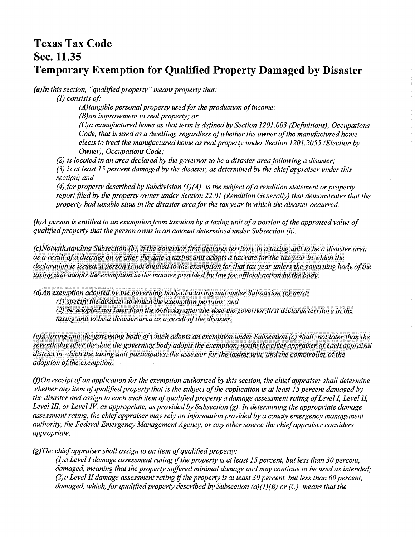# **Texas Tax Code** Sec. 11.35 **Temporary Exemption for Qualified Property Damaged by Disaster**

 $(a)$ In this section, "qualified property" means property that:

 $(1)$  consists of:

 $(A)$ tangible personal property used for the production of income:  $(B)$ an improvement to real property; or (C) a manufactured home as that term is defined by Section 1201.003 (Definitions). Occupations Code, that is used as a dwelling, regardless of whether the owner of the manufactured home elects to treat the manufactured home as real property under Section 1201.2055 (Election by Owner), Occupations Code;

 $(2)$  is located in an area declared by the governor to be a disaster area following a disaster;  $(3)$  is at least 15 percent damaged by the disaster, as determined by the chief appraiser under this section; and

(4) for property described by Subdivision (1)(A), is the subject of a rendition statement or property report filed by the property owner under Section 22.01 (Rendition Generally) that demonstrates that the property had taxable situs in the disaster area for the tax year in which the disaster occurred.

 $(b)$ A person is entitled to an exemption from taxation by a taxing unit of a portion of the appraised value of qualified property that the person owns in an amount determined under Subsection  $(h)$ .

(c)Notwithstanding Subsection (b), if the governor first declares territory in a taxing unit to be a disaster area as a result of a disaster on or after the date a taxing unit adopts a tax rate for the tax year in which the declaration is issued, a person is not entitled to the exemption for that tax year unless the governing body of the taxing unit adopts the exemption in the manner provided by law for official action by the body.

 $(d)$ An exemption adopted by the governing body of a taxing unit under Subsection (c) must:

 $(1)$  specify the disaster to which the exemption pertains; and

(2) be adopted not later than the 60th day after the date the governor first declares territory in the taxing unit to be a disaster area as a result of the disaster.

(e)A taxing unit the governing body of which adopts an exemption under Subsection (c) shall, not later than the seventh day after the date the governing body adopts the exemption, notify the chief appraiser of each appraisal district in which the taxing unit participates, the assessor for the taxing unit, and the comptroller of the adoption of the exemption.

(f)On receipt of an application for the exemption authorized by this section, the chief appraiser shall determine whether any item of qualified property that is the subject of the application is at least 15 percent damaged by the disaster and assign to each such item of qualified property a damage assessment rating of Level I, Level II, Level III, or Level IV, as appropriate, as provided by Subsection  $(g)$ . In determining the appropriate damage assessment rating, the chief appraiser may rely on information provided by a county emergency management authority, the Federal Emergency Management Agency, or any other source the chief appraiser considers appropriate.

 $(g)$ The chief appraiser shall assign to an item of qualified property:

(1) a Level I damage assessment rating if the property is at least 15 percent, but less than 30 percent, damaged, meaning that the property suffered minimal damage and may continue to be used as intended; (2) a Level II damage assessment rating if the property is at least 30 percent, but less than 60 percent, damaged, which, for qualified property described by Subsection (a)(1)(B) or (C), means that the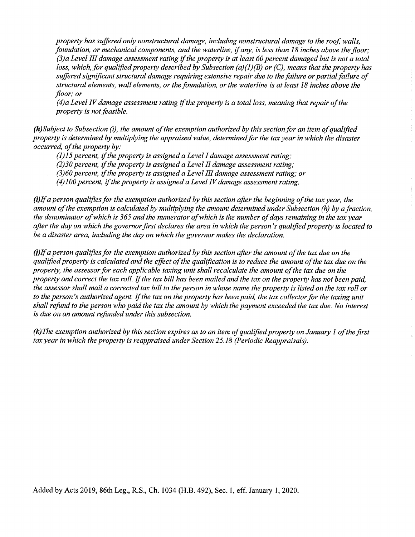property has suffered only nonstructural damage, including nonstructural damage to the roof, walls, foundation, or mechanical components, and the waterline, if any, is less than 18 inches above the floor: (3) a Level III damage assessment rating if the property is at least 60 percent damaged but is not a total loss, which, for qualified property described by Subsection (a)(1)(B) or (C), means that the property has suffered significant structural damage requiring extensive repair due to the failure or partial failure of structural elements, wall elements, or the foundation, or the waterline is at least 18 inches above the floor: or

 $(4)$ a Level IV damage assessment rating if the property is a total loss, meaning that repair of the property is not feasible.

 $(h)$ Subject to Subsection (i), the amount of the exemption authorized by this section for an item of aualified property is determined by multiplying the appraised value, determined for the tax year in which the disaster occurred, of the property by:

 $(1)$ 15 percent, if the property is assigned a Level I damage assessment rating;

 $(2)$ 30 percent, if the property is assigned a Level II damage assessment rating;

 $(3)$ 60 percent, if the property is assigned a Level III damage assessment rating; or

 $(4)$ 100 percent, if the property is assigned a Level IV damage assessment rating.

(i)If a person qualifies for the exemption authorized by this section after the beginning of the tax year, the amount of the exemption is calculated by multiplying the amount determined under Subsection  $(h)$  by a fraction, the denominator of which is 365 and the numerator of which is the number of days remaining in the tax year after the day on which the governor first declares the area in which the person's qualified property is located to be a disaster area, including the day on which the governor makes the declaration.

 $(i)$ If a person qualifies for the exemption authorized by this section after the amount of the tax due on the qualified property is calculated and the effect of the qualification is to reduce the amount of the tax due on the property, the assessor for each applicable taxing unit shall recalculate the amount of the tax due on the property and correct the tax roll. If the tax bill has been mailed and the tax on the property has not been paid. the assessor shall mail a corrected tax bill to the person in whose name the property is listed on the tax roll or to the person's authorized agent. If the tax on the property has been paid, the tax collector for the taxing unit shall refund to the person who paid the tax the amount by which the payment exceeded the tax due. No interest is due on an amount refunded under this subsection.

 $(k)$ The exemption authorized by this section expires as to an item of qualified property on January 1 of the first tax year in which the property is reappraised under Section 25.18 (Periodic Reappraisals).

Added by Acts 2019, 86th Leg., R.S., Ch. 1034 (H.B. 492), Sec. 1, eff. January 1, 2020.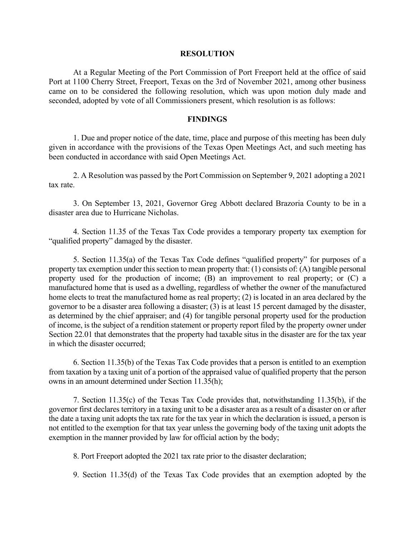## **RESOLUTION**

At a Regular Meeting of the Port Commission of Port Freeport held at the office of said Port at 1100 Cherry Street, Freeport, Texas on the 3rd of November 2021, among other business came on to be considered the following resolution, which was upon motion duly made and seconded, adopted by vote of all Commissioners present, which resolution is as follows:

## **FINDINGS**

1. Due and proper notice of the date, time, place and purpose of this meeting has been duly given in accordance with the provisions of the Texas Open Meetings Act, and such meeting has been conducted in accordance with said Open Meetings Act.

2. A Resolution was passed by the Port Commission on September 9, 2021 adopting a 2021 tax rate.

3. On September 13, 2021, Governor Greg Abbott declared Brazoria County to be in a disaster area due to Hurricane Nicholas.

4. Section 11.35 of the Texas Tax Code provides a temporary property tax exemption for "qualified property" damaged by the disaster.

5. Section 11.35(a) of the Texas Tax Code defines "qualified property" for purposes of a property tax exemption under this section to mean property that: (1) consists of: (A) tangible personal property used for the production of income; (B) an improvement to real property; or (C) a manufactured home that is used as a dwelling, regardless of whether the owner of the manufactured home elects to treat the manufactured home as real property; (2) is located in an area declared by the governor to be a disaster area following a disaster; (3) is at least 15 percent damaged by the disaster, as determined by the chief appraiser; and (4) for tangible personal property used for the production of income, is the subject of a rendition statement or property report filed by the property owner under Section 22.01 that demonstrates that the property had taxable situs in the disaster are for the tax year in which the disaster occurred;

6. Section 11.35(b) of the Texas Tax Code provides that a person is entitled to an exemption from taxation by a taxing unit of a portion of the appraised value of qualified property that the person owns in an amount determined under Section 11.35(h);

7. Section 11.35(c) of the Texas Tax Code provides that, notwithstanding 11.35(b), if the governor first declares territory in a taxing unit to be a disaster area as a result of a disaster on or after the date a taxing unit adopts the tax rate for the tax year in which the declaration is issued, a person is not entitled to the exemption for that tax year unless the governing body of the taxing unit adopts the exemption in the manner provided by law for official action by the body;

8. Port Freeport adopted the 2021 tax rate prior to the disaster declaration;

9. Section 11.35(d) of the Texas Tax Code provides that an exemption adopted by the